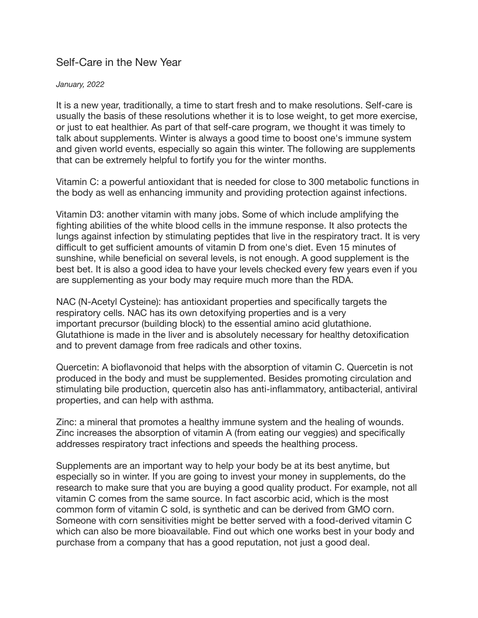## Self-Care in the New Year

## *January, 2022*

It is a new year, traditionally, a time to start fresh and to make resolutions. Self-care is usually the basis of these resolutions whether it is to lose weight, to get more exercise, or just to eat healthier. As part of that self-care program, we thought it was timely to talk about supplements. Winter is always a good time to boost one's immune system and given world events, especially so again this winter. The following are supplements that can be extremely helpful to fortify you for the winter months.

Vitamin C: a powerful antioxidant that is needed for close to 300 metabolic functions in the body as well as enhancing immunity and providing protection against infections.

Vitamin D3: another vitamin with many jobs. Some of which include amplifying the fighting abilities of the white blood cells in the immune response. It also protects the lungs against infection by stimulating peptides that live in the respiratory tract. It is very difficult to get sufficient amounts of vitamin D from one's diet. Even 15 minutes of sunshine, while beneficial on several levels, is not enough. A good supplement is the best bet. It is also a good idea to have your levels checked every few years even if you are supplementing as your body may require much more than the RDA.

NAC (N-Acetyl Cysteine): has antioxidant properties and specifically targets the respiratory cells. NAC has its own detoxifying properties and is a very important precursor (building block) to the essential amino acid glutathione. Glutathione is made in the liver and is absolutely necessary for healthy detoxification and to prevent damage from free radicals and other toxins.

Quercetin: A bioflavonoid that helps with the absorption of vitamin C. Quercetin is not produced in the body and must be supplemented. Besides promoting circulation and stimulating bile production, quercetin also has anti-inflammatory, antibacterial, antiviral properties, and can help with asthma.

Zinc: a mineral that promotes a healthy immune system and the healing of wounds. Zinc increases the absorption of vitamin A (from eating our veggies) and specifically addresses respiratory tract infections and speeds the healthing process.

Supplements are an important way to help your body be at its best anytime, but especially so in winter. If you are going to invest your money in supplements, do the research to make sure that you are buying a good quality product. For example, not all vitamin C comes from the same source. In fact ascorbic acid, which is the most common form of vitamin C sold, is synthetic and can be derived from GMO corn. Someone with corn sensitivities might be better served with a food-derived vitamin C which can also be more bioavailable. Find out which one works best in your body and purchase from a company that has a good reputation, not just a good deal.